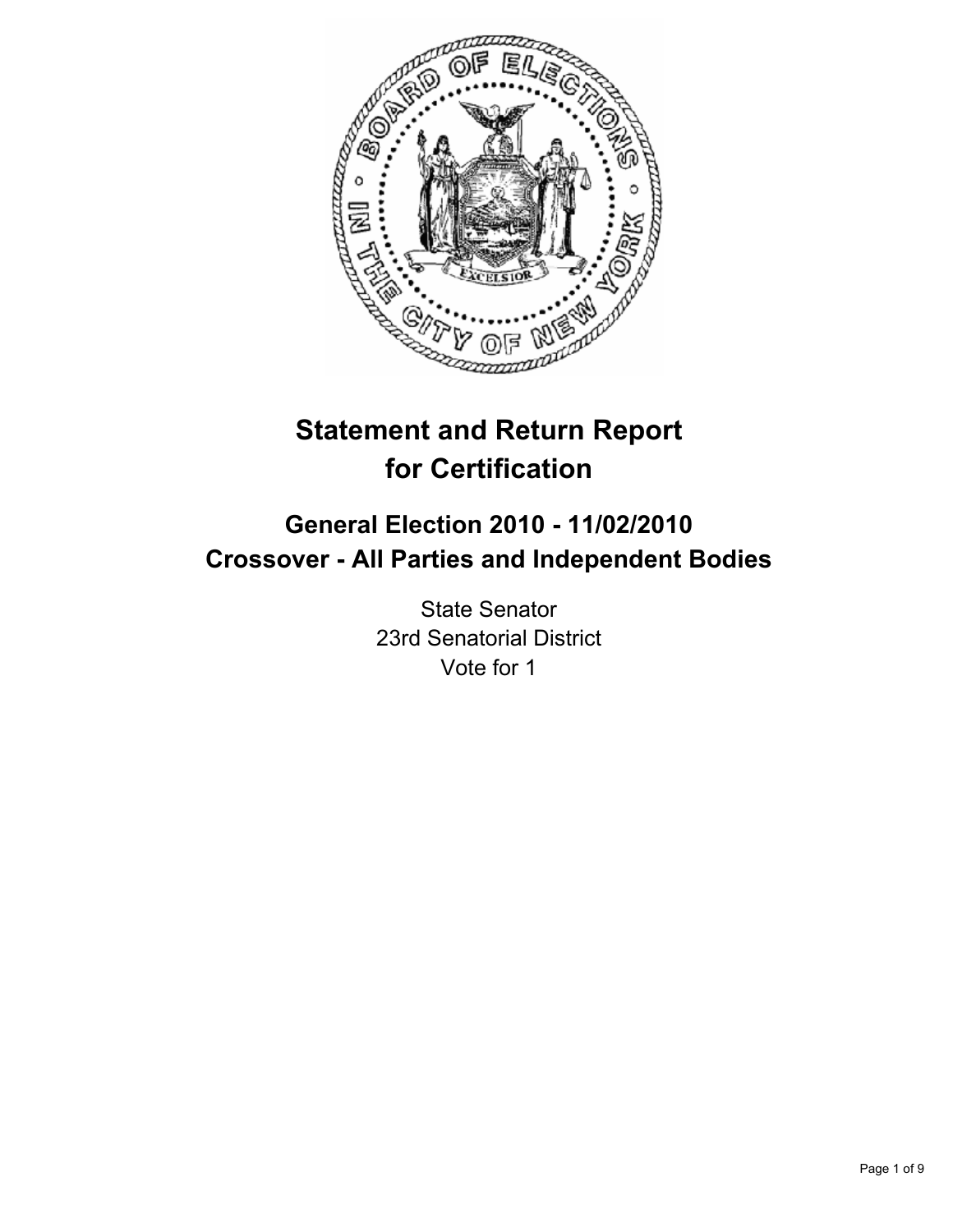

# **Statement and Return Report for Certification**

## **General Election 2010 - 11/02/2010 Crossover - All Parties and Independent Bodies**

State Senator 23rd Senatorial District Vote for 1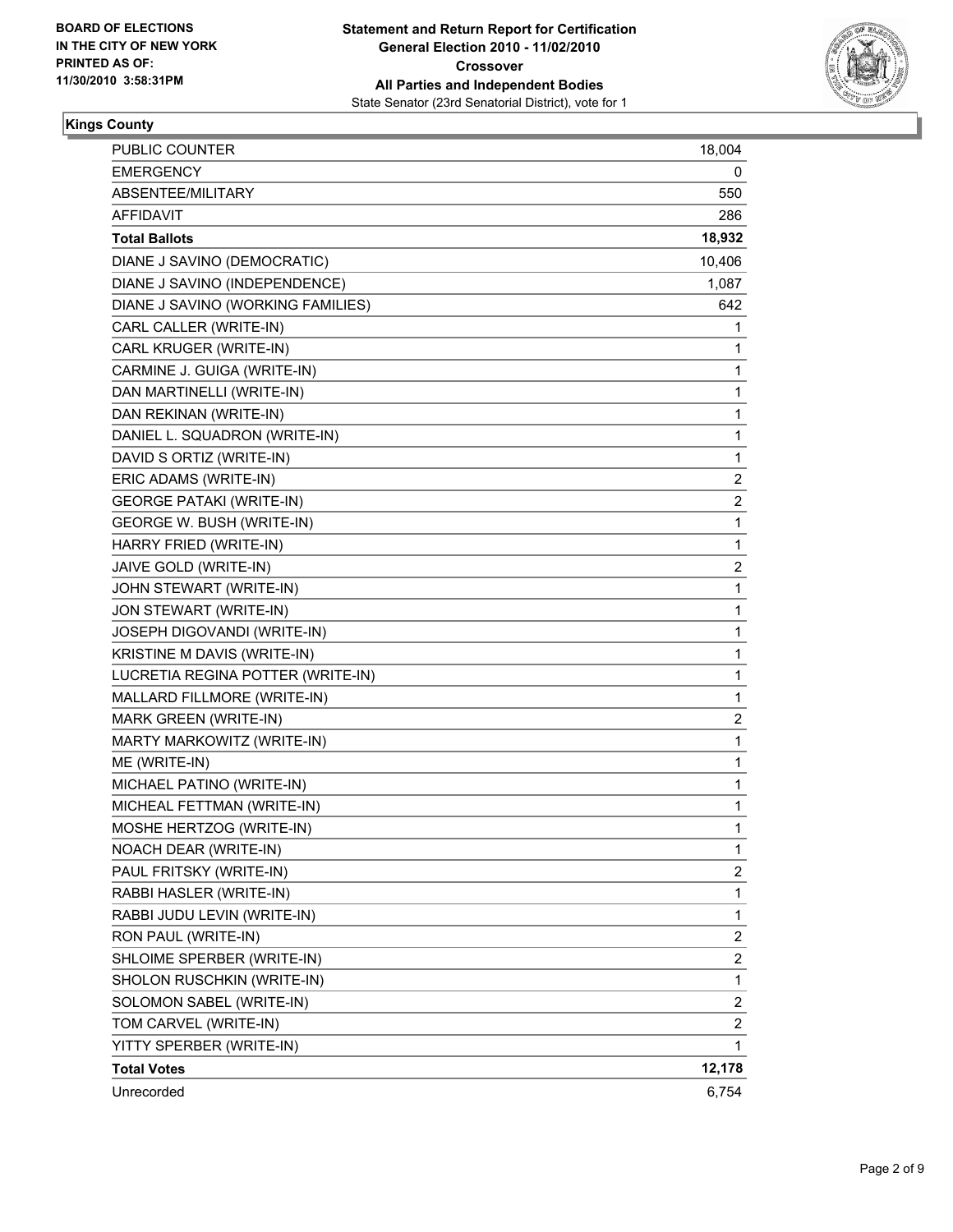

#### **Kings County**

| PUBLIC COUNTER                    | 18,004                  |
|-----------------------------------|-------------------------|
| <b>EMERGENCY</b>                  | 0                       |
| ABSENTEE/MILITARY                 | 550                     |
| AFFIDAVIT                         | 286                     |
| <b>Total Ballots</b>              | 18,932                  |
| DIANE J SAVINO (DEMOCRATIC)       | 10,406                  |
| DIANE J SAVINO (INDEPENDENCE)     | 1,087                   |
| DIANE J SAVINO (WORKING FAMILIES) | 642                     |
| CARL CALLER (WRITE-IN)            | 1                       |
| CARL KRUGER (WRITE-IN)            | 1                       |
| CARMINE J. GUIGA (WRITE-IN)       | 1                       |
| DAN MARTINELLI (WRITE-IN)         | 1                       |
| DAN REKINAN (WRITE-IN)            | 1                       |
| DANIEL L. SQUADRON (WRITE-IN)     | 1                       |
| DAVID S ORTIZ (WRITE-IN)          | 1                       |
| ERIC ADAMS (WRITE-IN)             | $\overline{\mathbf{c}}$ |
| <b>GEORGE PATAKI (WRITE-IN)</b>   | 2                       |
| GEORGE W. BUSH (WRITE-IN)         | 1                       |
| HARRY FRIED (WRITE-IN)            | 1                       |
| JAIVE GOLD (WRITE-IN)             | 2                       |
| JOHN STEWART (WRITE-IN)           | 1                       |
| JON STEWART (WRITE-IN)            | 1                       |
| JOSEPH DIGOVANDI (WRITE-IN)       | 1                       |
| KRISTINE M DAVIS (WRITE-IN)       | 1                       |
| LUCRETIA REGINA POTTER (WRITE-IN) | 1                       |
| MALLARD FILLMORE (WRITE-IN)       | 1                       |
| MARK GREEN (WRITE-IN)             | 2                       |
| MARTY MARKOWITZ (WRITE-IN)        | 1                       |
| ME (WRITE-IN)                     | 1                       |
| MICHAEL PATINO (WRITE-IN)         | 1                       |
| MICHEAL FETTMAN (WRITE-IN)        | 1                       |
| MOSHE HERTZOG (WRITE-IN)          | 1                       |
| NOACH DEAR (WRITE-IN)             | 1                       |
| PAUL FRITSKY (WRITE-IN)           | 2                       |
| RABBI HASLER (WRITE-IN)           | 1                       |
| RABBI JUDU LEVIN (WRITE-IN)       | 1                       |
| RON PAUL (WRITE-IN)               | $\overline{\mathbf{c}}$ |
| SHLOIME SPERBER (WRITE-IN)        | 2                       |
| SHOLON RUSCHKIN (WRITE-IN)        | 1                       |
| SOLOMON SABEL (WRITE-IN)          | $\overline{\mathbf{c}}$ |
| TOM CARVEL (WRITE-IN)             | 2                       |
| YITTY SPERBER (WRITE-IN)          | 1                       |
| <b>Total Votes</b>                | 12,178                  |
| Unrecorded                        | 6,754                   |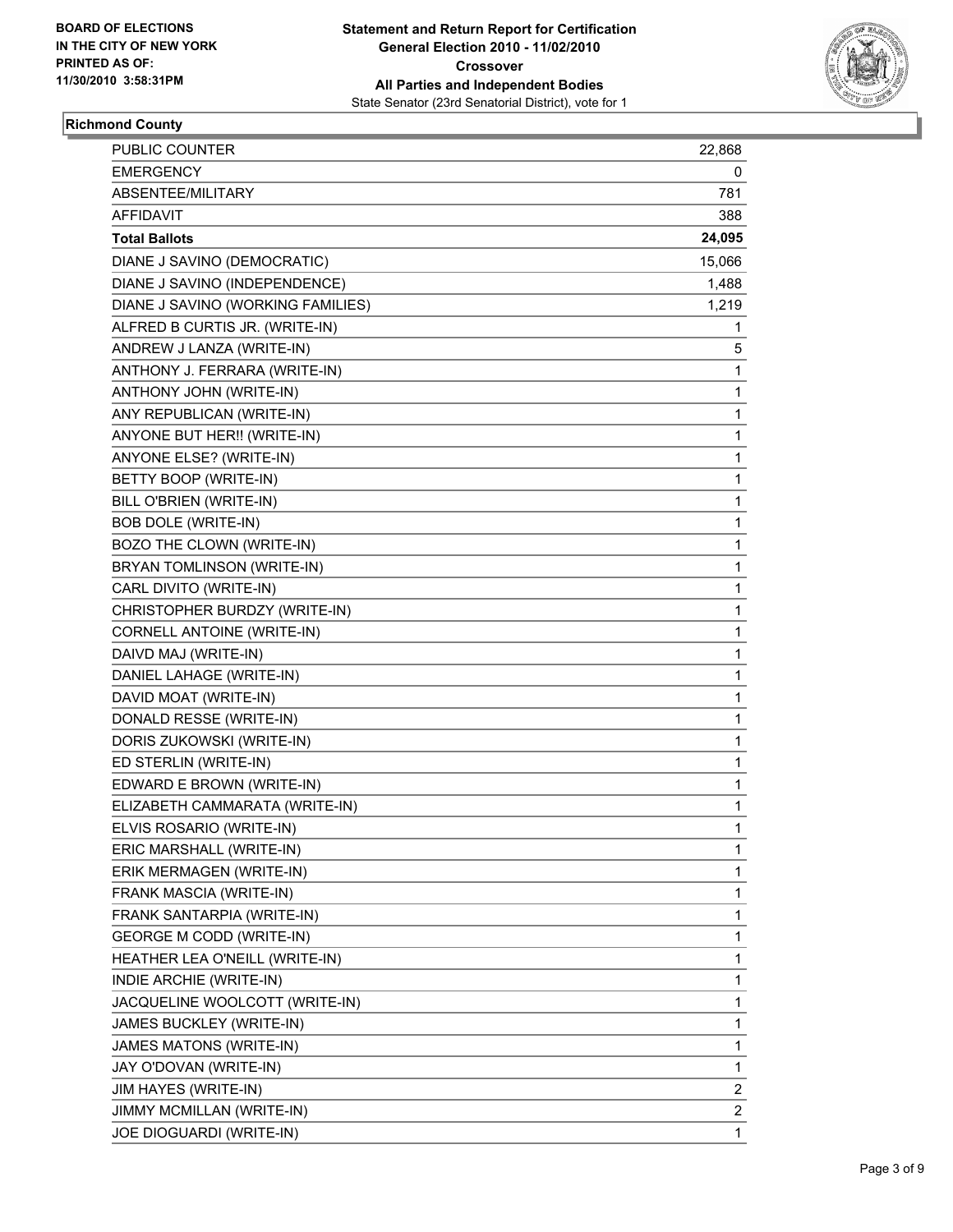

## **Richmond County**

| <b>PUBLIC COUNTER</b>             | 22,868 |
|-----------------------------------|--------|
| EMERGENCY                         | 0      |
| ABSENTEE/MILITARY                 | 781    |
| AFFIDAVIT                         | 388    |
| <b>Total Ballots</b>              | 24,095 |
| DIANE J SAVINO (DEMOCRATIC)       | 15,066 |
| DIANE J SAVINO (INDEPENDENCE)     | 1,488  |
| DIANE J SAVINO (WORKING FAMILIES) | 1,219  |
| ALFRED B CURTIS JR. (WRITE-IN)    | 1      |
| ANDREW J LANZA (WRITE-IN)         | 5      |
| ANTHONY J. FERRARA (WRITE-IN)     | 1      |
| ANTHONY JOHN (WRITE-IN)           | 1      |
| ANY REPUBLICAN (WRITE-IN)         | 1      |
| ANYONE BUT HER!! (WRITE-IN)       | 1      |
| ANYONE ELSE? (WRITE-IN)           | 1      |
| BETTY BOOP (WRITE-IN)             | 1      |
| BILL O'BRIEN (WRITE-IN)           | 1      |
| <b>BOB DOLE (WRITE-IN)</b>        | 1      |
| BOZO THE CLOWN (WRITE-IN)         | 1      |
| BRYAN TOMLINSON (WRITE-IN)        | 1      |
| CARL DIVITO (WRITE-IN)            | 1      |
| CHRISTOPHER BURDZY (WRITE-IN)     | 1      |
| CORNELL ANTOINE (WRITE-IN)        | 1      |
| DAIVD MAJ (WRITE-IN)              | 1      |
| DANIEL LAHAGE (WRITE-IN)          | 1      |
| DAVID MOAT (WRITE-IN)             | 1      |
| DONALD RESSE (WRITE-IN)           | 1      |
| DORIS ZUKOWSKI (WRITE-IN)         | 1      |
| ED STERLIN (WRITE-IN)             | 1      |
| EDWARD E BROWN (WRITE-IN)         | 1      |
| ELIZABETH CAMMARATA (WRITE-IN)    | 1      |
| ELVIS ROSARIO (WRITE-IN)          | 1      |
| ERIC MARSHALL (WRITE-IN)          | 1      |
| ERIK MERMAGEN (WRITE-IN)          | 1      |
| FRANK MASCIA (WRITE-IN)           | 1      |
| FRANK SANTARPIA (WRITE-IN)        | 1      |
| <b>GEORGE M CODD (WRITE-IN)</b>   | 1      |
| HEATHER LEA O'NEILL (WRITE-IN)    | 1      |
| INDIE ARCHIE (WRITE-IN)           | 1      |
| JACQUELINE WOOLCOTT (WRITE-IN)    | 1      |
| JAMES BUCKLEY (WRITE-IN)          | 1      |
| JAMES MATONS (WRITE-IN)           | 1      |
| JAY O'DOVAN (WRITE-IN)            | 1      |
| JIM HAYES (WRITE-IN)              | 2      |
| JIMMY MCMILLAN (WRITE-IN)         | 2      |
| JOE DIOGUARDI (WRITE-IN)          | 1      |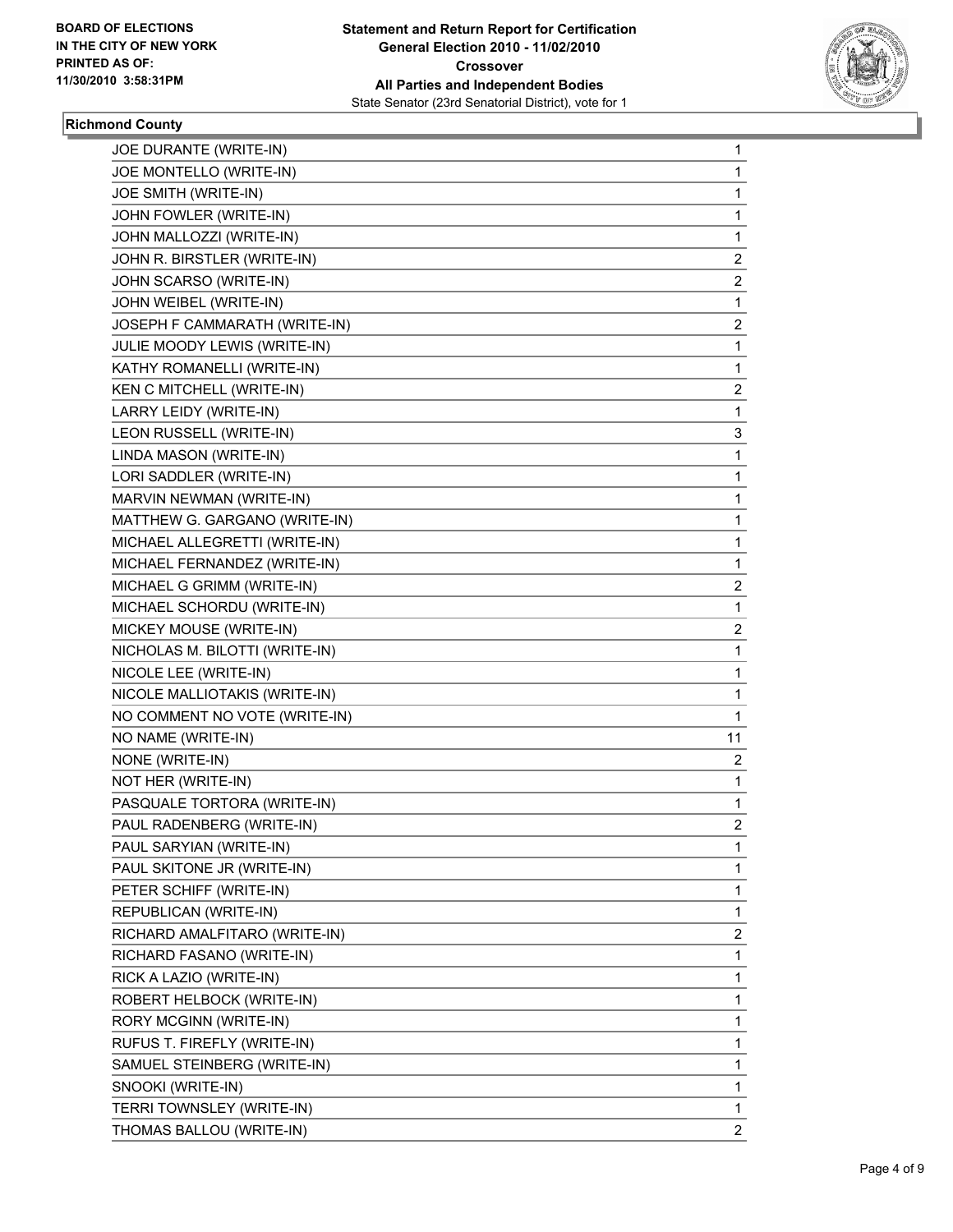

## **Richmond County**

| JOE DURANTE (WRITE-IN)         | 1              |
|--------------------------------|----------------|
| JOE MONTELLO (WRITE-IN)        | 1              |
| JOE SMITH (WRITE-IN)           | 1              |
| JOHN FOWLER (WRITE-IN)         | $\mathbf{1}$   |
| JOHN MALLOZZI (WRITE-IN)       | 1              |
| JOHN R. BIRSTLER (WRITE-IN)    | 2              |
| JOHN SCARSO (WRITE-IN)         | 2              |
| JOHN WEIBEL (WRITE-IN)         | 1              |
| JOSEPH F CAMMARATH (WRITE-IN)  | 2              |
| JULIE MOODY LEWIS (WRITE-IN)   | 1              |
| KATHY ROMANELLI (WRITE-IN)     | 1              |
| KEN C MITCHELL (WRITE-IN)      | 2              |
| LARRY LEIDY (WRITE-IN)         | 1              |
| LEON RUSSELL (WRITE-IN)        | 3              |
| LINDA MASON (WRITE-IN)         | 1              |
| LORI SADDLER (WRITE-IN)        | $\mathbf{1}$   |
| MARVIN NEWMAN (WRITE-IN)       | 1              |
| MATTHEW G. GARGANO (WRITE-IN)  | 1              |
| MICHAEL ALLEGRETTI (WRITE-IN)  | 1              |
| MICHAEL FERNANDEZ (WRITE-IN)   | 1              |
| MICHAEL G GRIMM (WRITE-IN)     | 2              |
| MICHAEL SCHORDU (WRITE-IN)     | 1              |
| MICKEY MOUSE (WRITE-IN)        | 2              |
| NICHOLAS M. BILOTTI (WRITE-IN) | 1              |
| NICOLE LEE (WRITE-IN)          | 1              |
| NICOLE MALLIOTAKIS (WRITE-IN)  | 1              |
| NO COMMENT NO VOTE (WRITE-IN)  | 1              |
| NO NAME (WRITE-IN)             | 11             |
| NONE (WRITE-IN)                | 2              |
| NOT HER (WRITE-IN)             | 1              |
| PASQUALE TORTORA (WRITE-IN)    | 1              |
| PAUL RADENBERG (WRITE-IN)      | 2              |
| PAUL SARYIAN (WRITE-IN)        | 1              |
| PAUL SKITONE JR (WRITE-IN)     | 1              |
| PETER SCHIFF (WRITE-IN)        | 1              |
| REPUBLICAN (WRITE-IN)          | 1              |
| RICHARD AMALFITARO (WRITE-IN)  | 2              |
| RICHARD FASANO (WRITE-IN)      | 1              |
| RICK A LAZIO (WRITE-IN)        | 1              |
| ROBERT HELBOCK (WRITE-IN)      | 1              |
| RORY MCGINN (WRITE-IN)         | 1              |
| RUFUS T. FIREFLY (WRITE-IN)    | 1              |
| SAMUEL STEINBERG (WRITE-IN)    | 1              |
| SNOOKI (WRITE-IN)              | 1              |
| TERRI TOWNSLEY (WRITE-IN)      | 1              |
| THOMAS BALLOU (WRITE-IN)       | $\overline{c}$ |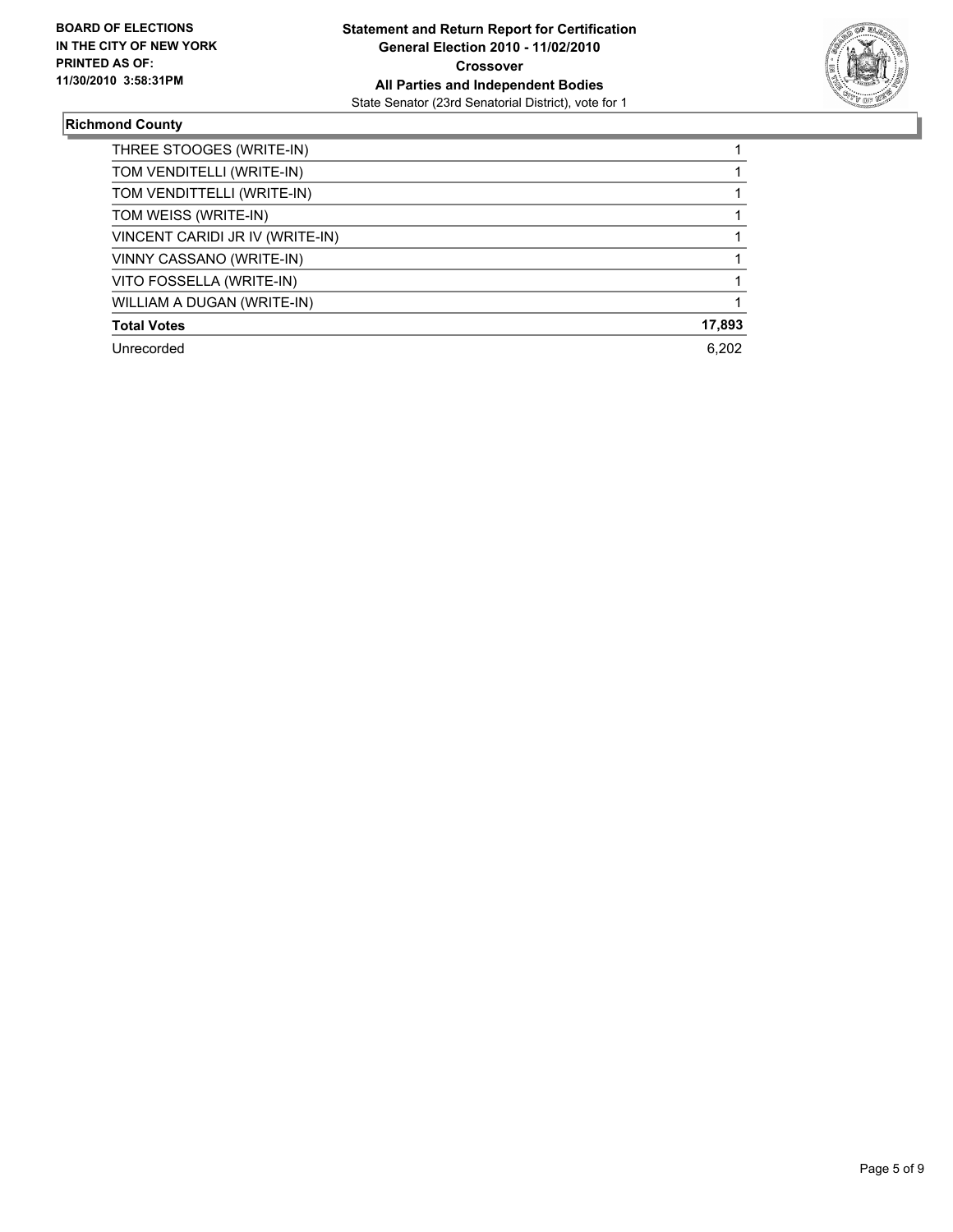

## **Richmond County**

| THREE STOOGES (WRITE-IN)        |        |
|---------------------------------|--------|
| TOM VENDITELLI (WRITE-IN)       |        |
| TOM VENDITTELLI (WRITE-IN)      |        |
| TOM WEISS (WRITE-IN)            |        |
| VINCENT CARIDI JR IV (WRITE-IN) |        |
| VINNY CASSANO (WRITE-IN)        |        |
| VITO FOSSELLA (WRITE-IN)        |        |
| WILLIAM A DUGAN (WRITE-IN)      |        |
| <b>Total Votes</b>              | 17,893 |
| Unrecorded                      | 6.202  |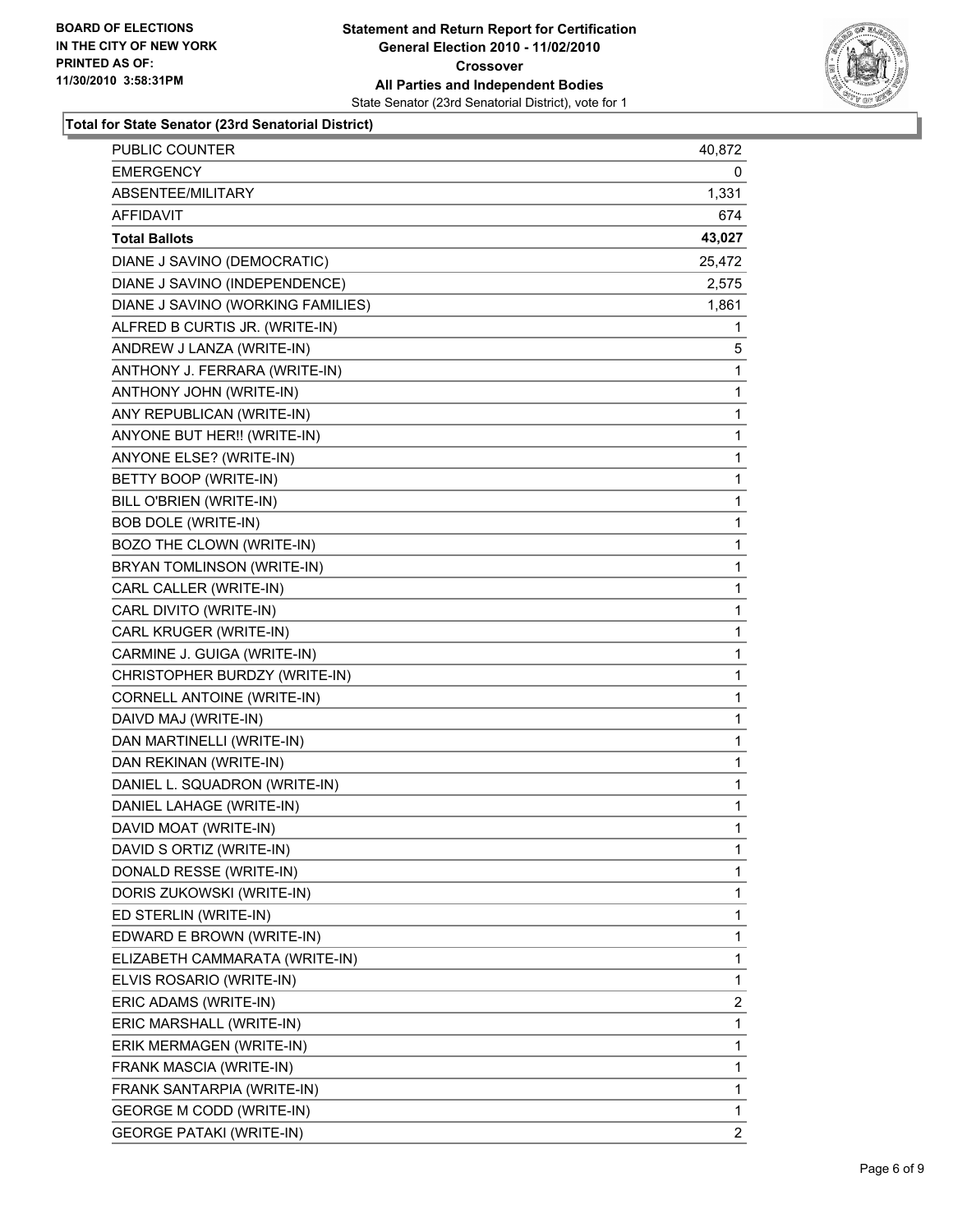

#### **Total for State Senator (23rd Senatorial District)**

| <b>PUBLIC COUNTER</b>             | 40,872       |
|-----------------------------------|--------------|
| <b>EMERGENCY</b>                  | 0            |
| ABSENTEE/MILITARY                 | 1,331        |
| AFFIDAVIT                         | 674          |
| <b>Total Ballots</b>              | 43,027       |
| DIANE J SAVINO (DEMOCRATIC)       | 25,472       |
| DIANE J SAVINO (INDEPENDENCE)     | 2,575        |
| DIANE J SAVINO (WORKING FAMILIES) | 1,861        |
| ALFRED B CURTIS JR. (WRITE-IN)    | 1            |
| ANDREW J LANZA (WRITE-IN)         | 5            |
| ANTHONY J. FERRARA (WRITE-IN)     | 1            |
| ANTHONY JOHN (WRITE-IN)           | 1            |
| ANY REPUBLICAN (WRITE-IN)         | $\mathbf{1}$ |
| ANYONE BUT HER!! (WRITE-IN)       | 1            |
| ANYONE ELSE? (WRITE-IN)           | 1            |
| BETTY BOOP (WRITE-IN)             | 1            |
| BILL O'BRIEN (WRITE-IN)           | 1            |
| <b>BOB DOLE (WRITE-IN)</b>        | 1            |
| BOZO THE CLOWN (WRITE-IN)         | $\mathbf{1}$ |
| BRYAN TOMLINSON (WRITE-IN)        | 1            |
| CARL CALLER (WRITE-IN)            | 1            |
| CARL DIVITO (WRITE-IN)            | 1            |
| CARL KRUGER (WRITE-IN)            | 1            |
| CARMINE J. GUIGA (WRITE-IN)       | 1            |
| CHRISTOPHER BURDZY (WRITE-IN)     | $\mathbf{1}$ |
| CORNELL ANTOINE (WRITE-IN)        | 1            |
| DAIVD MAJ (WRITE-IN)              | 1            |
| DAN MARTINELLI (WRITE-IN)         | 1            |
| DAN REKINAN (WRITE-IN)            | 1            |
| DANIEL L. SQUADRON (WRITE-IN)     | 1            |
| DANIEL LAHAGE (WRITE-IN)          | $\mathbf{1}$ |
| DAVID MOAT (WRITE-IN)             | 1            |
| DAVID S ORTIZ (WRITE-IN)          | 1            |
| DONALD RESSE (WRITE-IN)           | 1            |
| DORIS ZUKOWSKI (WRITE-IN)         | 1            |
| ED STERLIN (WRITE-IN)             | 1            |
| EDWARD E BROWN (WRITE-IN)         | 1            |
| ELIZABETH CAMMARATA (WRITE-IN)    | 1            |
| ELVIS ROSARIO (WRITE-IN)          | 1            |
| ERIC ADAMS (WRITE-IN)             | 2            |
| ERIC MARSHALL (WRITE-IN)          | 1            |
| ERIK MERMAGEN (WRITE-IN)          | 1            |
| FRANK MASCIA (WRITE-IN)           | 1            |
| FRANK SANTARPIA (WRITE-IN)        | 1            |
| <b>GEORGE M CODD (WRITE-IN)</b>   | 1            |
| <b>GEORGE PATAKI (WRITE-IN)</b>   | 2            |
|                                   |              |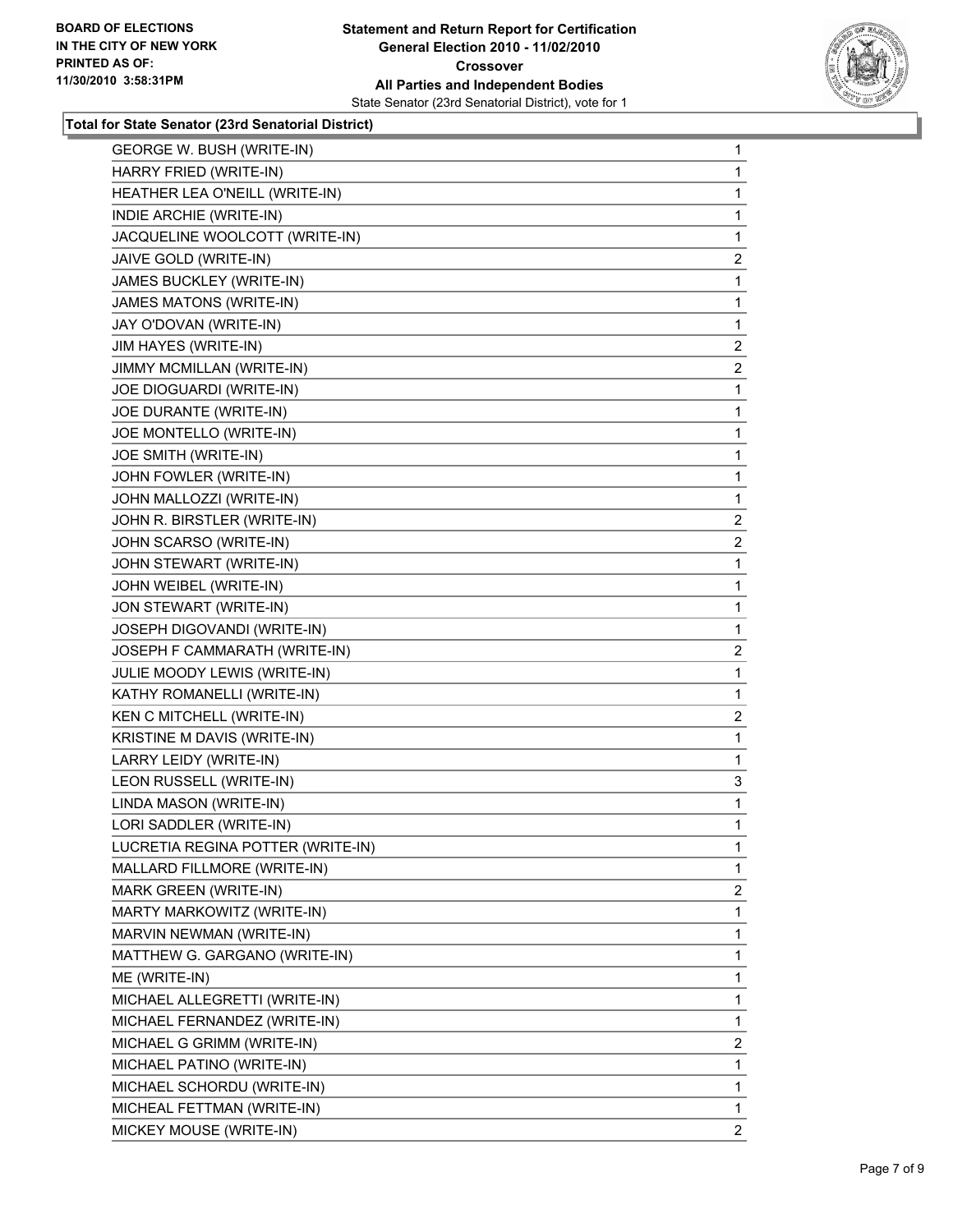

#### **Total for State Senator (23rd Senatorial District)**

| <b>GEORGE W. BUSH (WRITE-IN)</b>  | $\mathbf{1}$   |
|-----------------------------------|----------------|
| HARRY FRIED (WRITE-IN)            | 1              |
| HEATHER LEA O'NEILL (WRITE-IN)    | 1              |
| INDIE ARCHIE (WRITE-IN)           | 1              |
| JACQUELINE WOOLCOTT (WRITE-IN)    | 1              |
| JAIVE GOLD (WRITE-IN)             |                |
| JAMES BUCKLEY (WRITE-IN)          | 2<br>1         |
| <b>JAMES MATONS (WRITE-IN)</b>    | 1              |
| JAY O'DOVAN (WRITE-IN)            | 1              |
| JIM HAYES (WRITE-IN)              | $\overline{c}$ |
| JIMMY MCMILLAN (WRITE-IN)         | $\mathbf{2}$   |
| JOE DIOGUARDI (WRITE-IN)          | 1              |
| JOE DURANTE (WRITE-IN)            | 1              |
| JOE MONTELLO (WRITE-IN)           | 1              |
| JOE SMITH (WRITE-IN)              | 1              |
| JOHN FOWLER (WRITE-IN)            | 1              |
| JOHN MALLOZZI (WRITE-IN)          | 1              |
| JOHN R. BIRSTLER (WRITE-IN)       | 2              |
| JOHN SCARSO (WRITE-IN)            | 2              |
| JOHN STEWART (WRITE-IN)           | 1              |
| JOHN WEIBEL (WRITE-IN)            | 1              |
| JON STEWART (WRITE-IN)            | 1              |
| JOSEPH DIGOVANDI (WRITE-IN)       | 1              |
| JOSEPH F CAMMARATH (WRITE-IN)     | 2              |
| JULIE MOODY LEWIS (WRITE-IN)      | 1              |
| KATHY ROMANELLI (WRITE-IN)        | 1              |
| KEN C MITCHELL (WRITE-IN)         | $\overline{2}$ |
| KRISTINE M DAVIS (WRITE-IN)       | 1              |
| LARRY LEIDY (WRITE-IN)            | 1              |
| LEON RUSSELL (WRITE-IN)           | 3              |
| LINDA MASON (WRITE-IN)            | 1              |
| LORI SADDLER (WRITE-IN)           | 1              |
| LUCRETIA REGINA POTTER (WRITE-IN) | 1              |
| MALLARD FILLMORE (WRITE-IN)       | 1              |
| MARK GREEN (WRITE-IN)             | $\overline{2}$ |
| MARTY MARKOWITZ (WRITE-IN)        | 1              |
| MARVIN NEWMAN (WRITE-IN)          | 1              |
| MATTHEW G. GARGANO (WRITE-IN)     | 1              |
| ME (WRITE-IN)                     | 1              |
| MICHAEL ALLEGRETTI (WRITE-IN)     | 1              |
| MICHAEL FERNANDEZ (WRITE-IN)      | 1              |
| MICHAEL G GRIMM (WRITE-IN)        | 2              |
| MICHAEL PATINO (WRITE-IN)         | 1              |
| MICHAEL SCHORDU (WRITE-IN)        | 1              |
| MICHEAL FETTMAN (WRITE-IN)        | 1              |
| MICKEY MOUSE (WRITE-IN)           | 2              |
|                                   |                |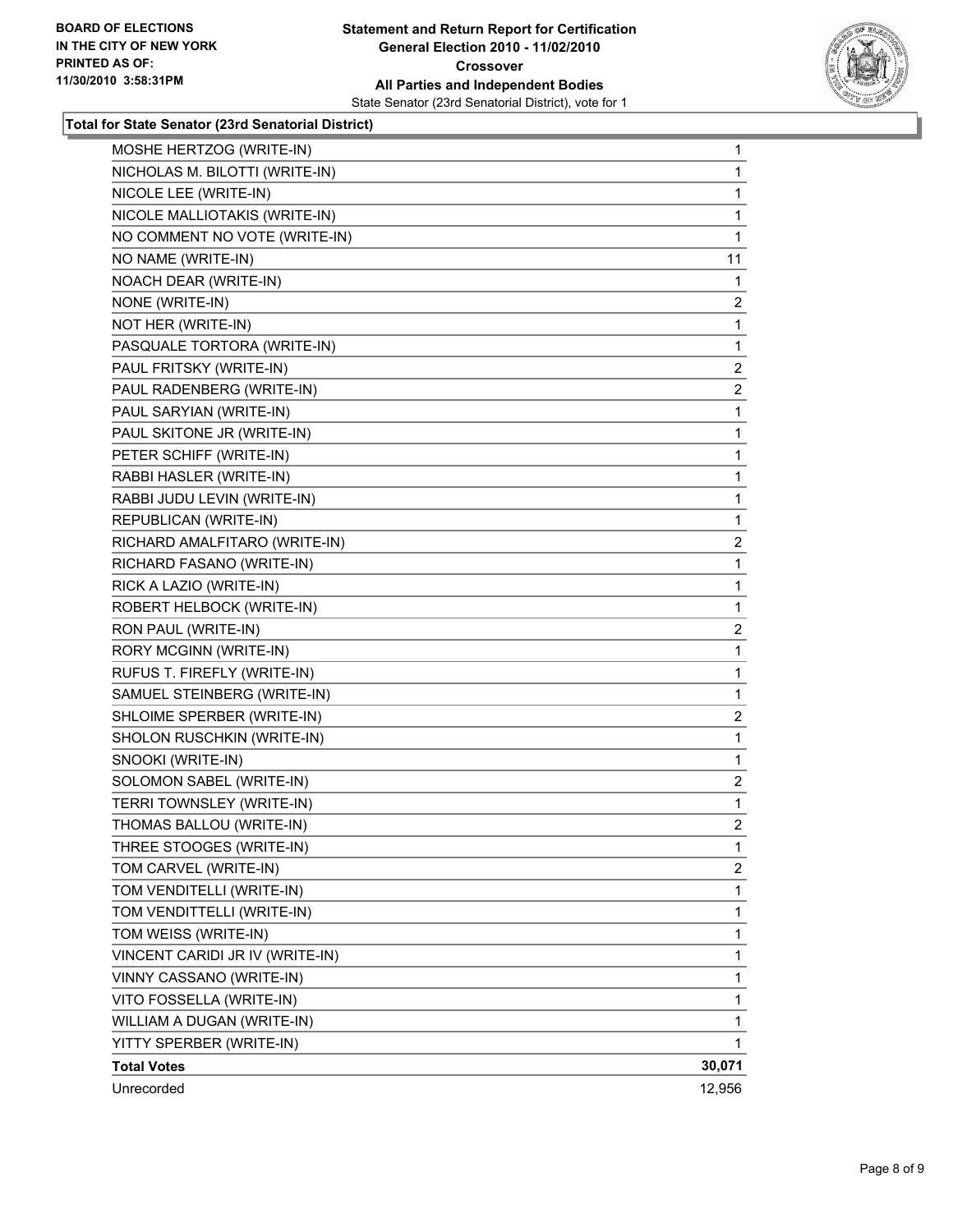

**Total for State Senator (23rd Senatorial District)**

| MOSHE HERTZOG (WRITE-IN)        | $\mathbf{1}$   |
|---------------------------------|----------------|
| NICHOLAS M. BILOTTI (WRITE-IN)  | 1              |
| NICOLE LEE (WRITE-IN)           | 1              |
| NICOLE MALLIOTAKIS (WRITE-IN)   | $\mathbf 1$    |
| NO COMMENT NO VOTE (WRITE-IN)   | 1              |
| NO NAME (WRITE-IN)              | 11             |
| NOACH DEAR (WRITE-IN)           | 1              |
| NONE (WRITE-IN)                 | 2              |
| NOT HER (WRITE-IN)              | 1              |
| PASQUALE TORTORA (WRITE-IN)     | 1              |
| PAUL FRITSKY (WRITE-IN)         | 2              |
| PAUL RADENBERG (WRITE-IN)       | $\mathbf{2}$   |
| PAUL SARYIAN (WRITE-IN)         | $\mathbf 1$    |
| PAUL SKITONE JR (WRITE-IN)      | 1              |
| PETER SCHIFF (WRITE-IN)         | $\mathbf 1$    |
| RABBI HASLER (WRITE-IN)         | $\mathbf 1$    |
| RABBI JUDU LEVIN (WRITE-IN)     | 1              |
| REPUBLICAN (WRITE-IN)           | 1              |
| RICHARD AMALFITARO (WRITE-IN)   | $\overline{2}$ |
| RICHARD FASANO (WRITE-IN)       | $\mathbf 1$    |
| RICK A LAZIO (WRITE-IN)         | $\mathbf 1$    |
| ROBERT HELBOCK (WRITE-IN)       | 1              |
| RON PAUL (WRITE-IN)             | 2              |
| RORY MCGINN (WRITE-IN)          | 1              |
| RUFUS T. FIREFLY (WRITE-IN)     | $\mathbf{1}$   |
| SAMUEL STEINBERG (WRITE-IN)     | 1              |
| SHLOIME SPERBER (WRITE-IN)      | $\mathbf{2}$   |
| SHOLON RUSCHKIN (WRITE-IN)      | $\mathbf{1}$   |
| SNOOKI (WRITE-IN)               | 1              |
| SOLOMON SABEL (WRITE-IN)        | $\mathbf{2}$   |
| TERRI TOWNSLEY (WRITE-IN)       | $\mathbf 1$    |
| THOMAS BALLOU (WRITE-IN)        | $\overline{2}$ |
| THREE STOOGES (WRITE-IN)        | 1              |
| TOM CARVEL (WRITE-IN)           | 2              |
| TOM VENDITELLI (WRITE-IN)       | 1              |
| TOM VENDITTELLI (WRITE-IN)      | 1              |
| TOM WEISS (WRITE-IN)            | 1              |
| VINCENT CARIDI JR IV (WRITE-IN) | 1              |
| VINNY CASSANO (WRITE-IN)        | 1              |
| VITO FOSSELLA (WRITE-IN)        | 1              |
| WILLIAM A DUGAN (WRITE-IN)      | 1              |
| YITTY SPERBER (WRITE-IN)        | 1              |
| <b>Total Votes</b>              | 30,071         |
| Unrecorded                      | 12,956         |